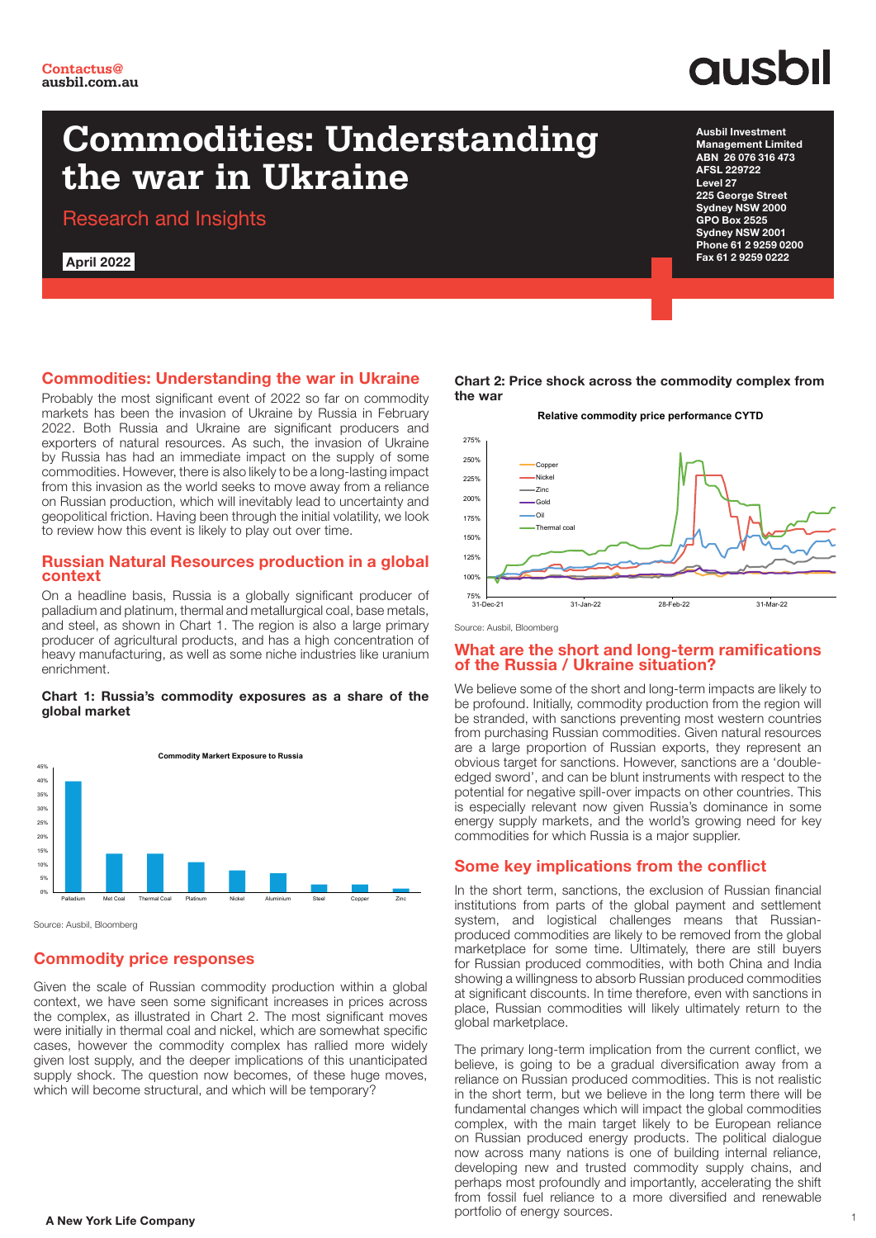## **Commodities: Understanding the war in Ukraine**

Research and Insights

April 2022

**ausbil** Ausbil Investment

Management Limited

ABN 26 076 316 473 AFSL 229722 Level 27 225 George Street Sydney NSW 2000 GPO Box 2525 Sydney NSW 2001 Phone 61 2 9259 0200 Fax 61 2 9259 0222

### Commodities: Understanding the war in Ukraine

Probably the most significant event of 2022 so far on commodity markets has been the invasion of Ukraine by Russia in February 2022. Both Russia and Ukraine are significant producers and exporters of natural resources. As such, the invasion of Ukraine by Russia has had an immediate impact on the supply of some commodities. However, there is also likely to be a long-lasting impact from this invasion as the world seeks to move away from a reliance on Russian production, which will inevitably lead to uncertainty and geopolitical friction. Having been through the initial volatility, we look to review how this event is likely to play out over time.

#### Russian Natural Resources production in a global context

On a headline basis, Russia is a globally significant producer of palladium and platinum, thermal and metallurgical coal, base metals, and steel, as shown in Chart 1. The region is also a large primary producer of agricultural products, and has a high concentration of heavy manufacturing, as well as some niche industries like uranium enrichment.

#### Chart 1: Russia's commodity exposures as a share of the global market



Source: Ausbil, Bloomberg

## Commodity price responses

Given the scale of Russian commodity production within a global context, we have seen some significant increases in prices across the complex, as illustrated in Chart 2. The most significant moves were initially in thermal coal and nickel, which are somewhat specific cases, however the commodity complex has rallied more widely given lost supply, and the deeper implications of this unanticipated supply shock. The question now becomes, of these huge moves, which will become structural, and which will be temporary?

Chart 2: Price shock across the commodity complex from the war



Source: Ausbil, Bloomberg

#### What are the short and long-term ramifications of the Russia / Ukraine situation?

We believe some of the short and long-term impacts are likely to be profound. Initially, commodity production from the region will be stranded, with sanctions preventing most western countries from purchasing Russian commodities. Given natural resources are a large proportion of Russian exports, they represent an obvious target for sanctions. However, sanctions are a 'doubleedged sword', and can be blunt instruments with respect to the potential for negative spill-over impacts on other countries. This is especially relevant now given Russia's dominance in some energy supply markets, and the world's growing need for key commodities for which Russia is a major supplier.

## Some key implications from the conflict

In the short term, sanctions, the exclusion of Russian financial institutions from parts of the global payment and settlement system, and logistical challenges means that Russianproduced commodities are likely to be removed from the global marketplace for some time. Ultimately, there are still buyers for Russian produced commodities, with both China and India showing a willingness to absorb Russian produced commodities at significant discounts. In time therefore, even with sanctions in place, Russian commodities will likely ultimately return to the global marketplace.

**A New York Life Company 1 A New York Life Company 1** The primary long-term implication from the current conflict, we believe, is going to be a gradual diversification away from a reliance on Russian produced commodities. This is not realistic in the short term, but we believe in the long term there will be fundamental changes which will impact the global commodities complex, with the main target likely to be European reliance on Russian produced energy products. The political dialogue now across many nations is one of building internal reliance, developing new and trusted commodity supply chains, and perhaps most profoundly and importantly, accelerating the shift from fossil fuel reliance to a more diversified and renewable portfolio of energy sources.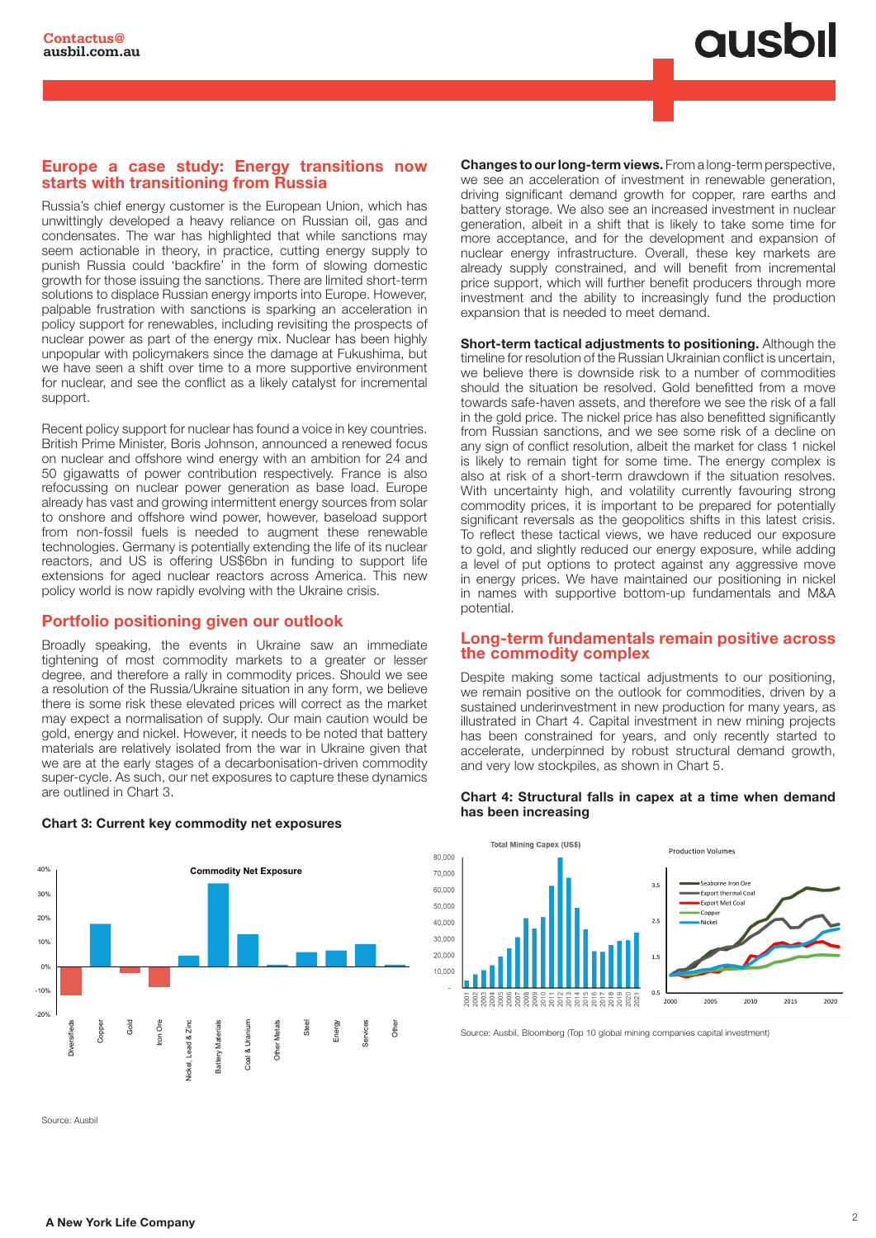#### Europe a case study: Energy transitions now starts with transitioning from Russia

Russia's chief energy customer is the European Union, which has unwittingly developed a heavy reliance on Russian oil, gas and condensates. The war has highlighted that while sanctions may seem actionable in theory, in practice, cutting energy supply to punish Russia could 'backfire' in the form of slowing domestic growth for those issuing the sanctions. There are limited short-term solutions to displace Russian energy imports into Europe. However, palpable frustration with sanctions is sparking an acceleration in policy support for renewables, including revisiting the prospects of nuclear power as part of the energy mix. Nuclear has been highly unpopular with policymakers since the damage at Fukushima, but we have seen a shift over time to a more supportive environment for nuclear, and see the conflict as a likely catalyst for incremental support.

Recent policy support for nuclear has found a voice in key countries. British Prime Minister, Boris Johnson, announced a renewed focus on nuclear and offshore wind energy with an ambition for 24 and 50 gigawatts of power contribution respectively. France is also refocussing on nuclear power generation as base load. Europe already has vast and growing intermittent energy sources from solar to onshore and offshore wind power, however, baseload support from non-fossil fuels is needed to augment these renewable technologies. Germany is potentially extending the life of its nuclear reactors, and US is offering US\$6bn in funding to support life extensions for aged nuclear reactors across America. This new policy world is now rapidly evolving with the Ukraine crisis.

## Portfolio positioning given our outlook

Broadly speaking, the events in Ukraine saw an immediate tightening of most commodity markets to a greater or lesser degree, and therefore a rally in commodity prices. Should we see a resolution of the Russia/Ukraine situation in any form, we believe there is some risk these elevated prices will correct as the market may expect a normalisation of supply. Our main caution would be gold, energy and nickel. However, it needs to be noted that battery materials are relatively isolated from the war in Ukraine given that we are at the early stages of a decarbonisation-driven commodity super-cycle. As such, our net exposures to capture these dynamics are outlined in Chart 3.



### Chart 3: Current key commodity net exposures

Changes to our long-term views. From a long-term perspective, we see an acceleration of investment in renewable generation, driving significant demand growth for copper, rare earths and battery storage. We also see an increased investment in nuclear generation, albeit in a shift that is likely to take some time for more acceptance, and for the development and expansion of nuclear energy infrastructure. Overall, these key markets are already supply constrained, and will benefit from incremental price support, which will further benefit producers through more investment and the ability to increasingly fund the production expansion that is needed to meet demand.

Short-term tactical adjustments to positioning. Although the timeline for resolution of the Russian Ukrainian conflict is uncertain, we believe there is downside risk to a number of commodities should the situation be resolved. Gold benefitted from a move towards safe-haven assets, and therefore we see the risk of a fall in the gold price. The nickel price has also benefitted significantly from Russian sanctions, and we see some risk of a decline on any sign of conflict resolution, albeit the market for class 1 nickel is likely to remain tight for some time. The energy complex is also at risk of a short-term drawdown if the situation resolves. With uncertainty high, and volatility currently favouring strong commodity prices, it is important to be prepared for potentially significant reversals as the geopolitics shifts in this latest crisis. To reflect these tactical views, we have reduced our exposure to gold, and slightly reduced our energy exposure, while adding a level of put options to protect against any aggressive move in energy prices. We have maintained our positioning in nickel in names with supportive bottom-up fundamentals and M&A potential.

#### Long-term fundamentals remain positive across the commodity complex

Despite making some tactical adjustments to our positioning, we remain positive on the outlook for commodities, driven by a sustained underinvestment in new production for many years, as illustrated in Chart 4. Capital investment in new mining projects has been constrained for years, and only recently started to accelerate, underpinned by robust structural demand growth, and very low stockpiles, as shown in Chart 5.

#### Chart 4: Structural falls in capex at a time when demand has been increasing



Source: Ausbil, Bloomberg (Top 10 global mining companies capital investment)

Source: Ausbil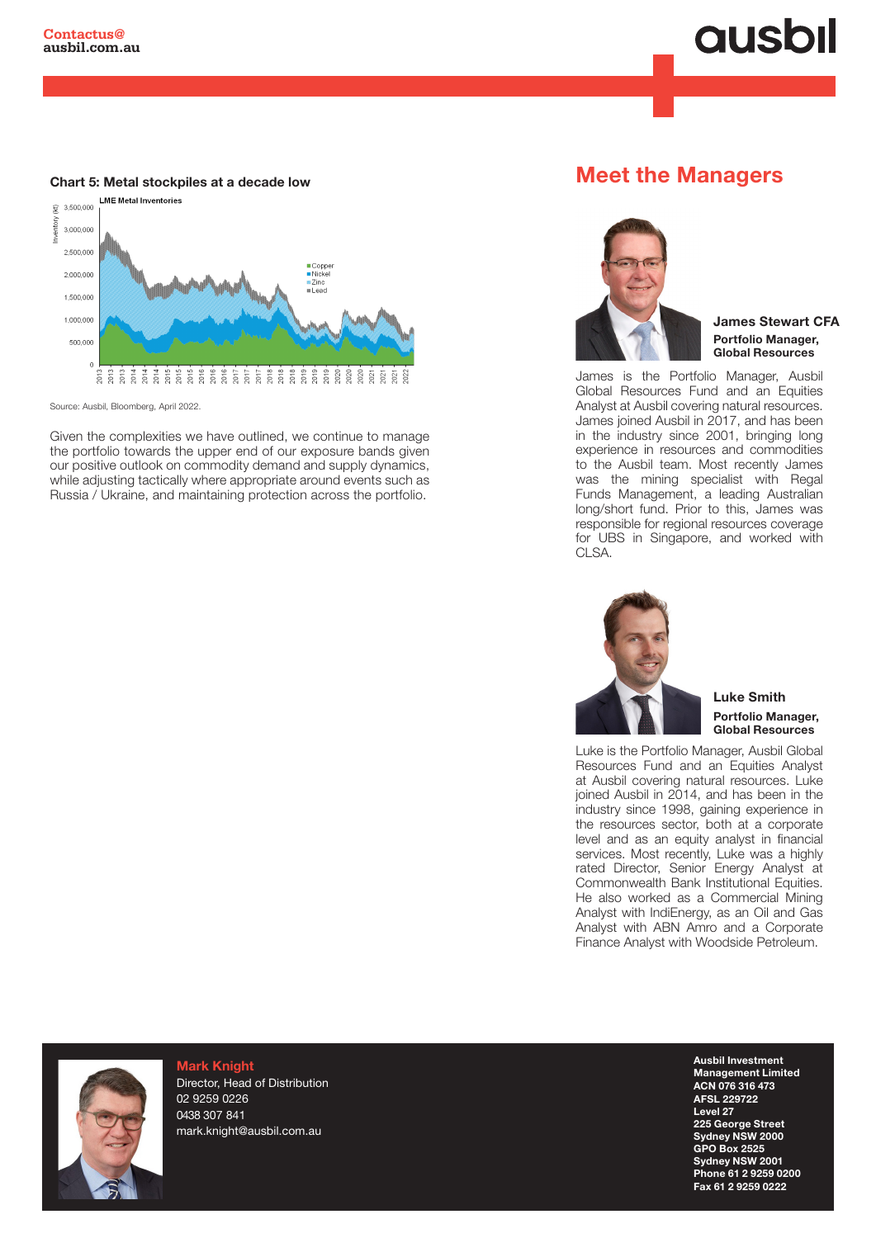# **ausbil**

#### Chart 5: Metal stockpiles at a decade low



Source: Ausbil, Bloomberg, April 2022.

Given the complexities we have outlined, we continue to manage the portfolio towards the upper end of our exposure bands given our positive outlook on commodity demand and supply dynamics, while adjusting tactically where appropriate around events such as Russia / Ukraine, and maintaining protection across the portfolio.

## Meet the Managers



James Stewart CFA Portfolio Manager, Global Resources

James is the Portfolio Manager, Ausbil Global Resources Fund and an Equities Analyst at Ausbil covering natural resources. James joined Ausbil in 2017, and has been in the industry since 2001, bringing long experience in resources and commodities to the Ausbil team. Most recently James was the mining specialist with Regal Funds Management, a leading Australian long/short fund. Prior to this, James was responsible for regional resources coverage for UBS in Singapore, and worked with CLSA.



Luke Smith Portfolio Manager, Global Resources

Luke is the Portfolio Manager, Ausbil Global Resources Fund and an Equities Analyst at Ausbil covering natural resources. Luke joined Ausbil in 2014, and has been in the industry since 1998, gaining experience in the resources sector, both at a corporate level and as an equity analyst in financial services. Most recently, Luke was a highly rated Director, Senior Energy Analyst at Commonwealth Bank Institutional Equities. He also worked as a Commercial Mining Analyst with IndiEnergy, as an Oil and Gas Analyst with ABN Amro and a Corporate Finance Analyst with Woodside Petroleum.



 $F$ il.com.au information or to schedule and interview please contact:  $F$ Mark Knight Director, Head of Distribution 02 9259 0226 0438 307 841 mark.knight@ausbil.com.au

Email: kirsty@honner.com.au

Ausbil Investment Management Limited ACN 076 316 473 AFSL 229722 Level 27 225 George Street Sydney NSW 2000 GPO Box 2525 Sydney NSW 2001 Phone 61 2 9259 0200 Fax 61 2 9259 0222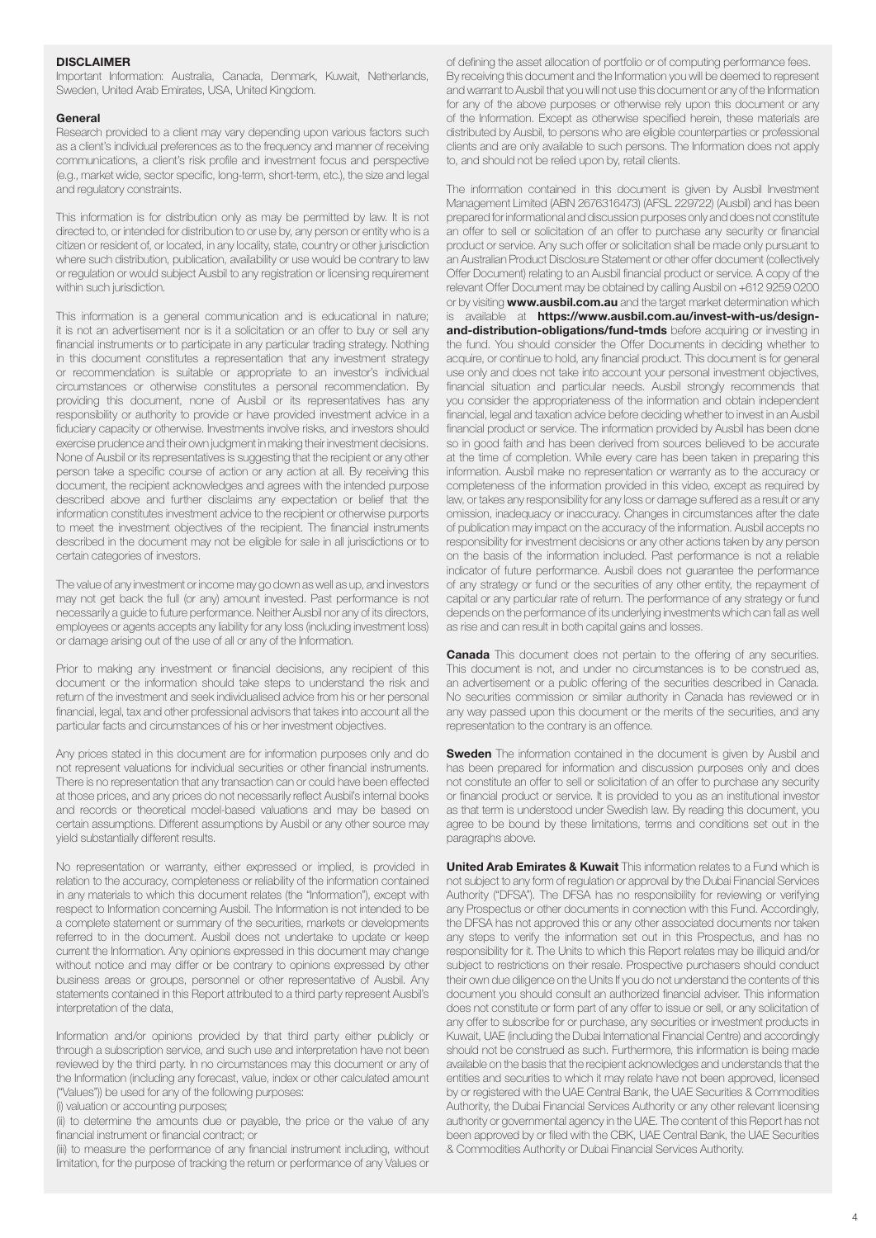#### DISCLAIMER

Important Information: Australia, Canada, Denmark, Kuwait, Netherlands, Sweden, United Arab Emirates, USA, United Kingdom.

#### General

Research provided to a client may vary depending upon various factors such as a client's individual preferences as to the frequency and manner of receiving communications, a client's risk profile and investment focus and perspective (e.g., market wide, sector specific, long-term, short-term, etc.), the size and legal and regulatory constraints.

This information is for distribution only as may be permitted by law. It is not directed to, or intended for distribution to or use by, any person or entity who is a citizen or resident of, or located, in any locality, state, country or other jurisdiction where such distribution, publication, availability or use would be contrary to law or regulation or would subject Ausbil to any registration or licensing requirement within such jurisdiction.

This information is a general communication and is educational in nature; it is not an advertisement nor is it a solicitation or an offer to buy or sell any financial instruments or to participate in any particular trading strategy. Nothing in this document constitutes a representation that any investment strategy or recommendation is suitable or appropriate to an investor's individual circumstances or otherwise constitutes a personal recommendation. By providing this document, none of Ausbil or its representatives has any responsibility or authority to provide or have provided investment advice in a fiduciary capacity or otherwise. Investments involve risks, and investors should exercise prudence and their own judgment in making their investment decisions. None of Ausbil or its representatives is suggesting that the recipient or any other person take a specific course of action or any action at all. By receiving this document, the recipient acknowledges and agrees with the intended purpose described above and further disclaims any expectation or belief that the information constitutes investment advice to the recipient or otherwise purports to meet the investment objectives of the recipient. The financial instruments described in the document may not be eligible for sale in all jurisdictions or to certain categories of investors.

The value of any investment or income may go down as well as up, and investors may not get back the full (or any) amount invested. Past performance is not necessarily a guide to future performance. Neither Ausbil nor any of its directors, employees or agents accepts any liability for any loss (including investment loss) or damage arising out of the use of all or any of the Information.

Prior to making any investment or financial decisions, any recipient of this document or the information should take steps to understand the risk and return of the investment and seek individualised advice from his or her personal financial, legal, tax and other professional advisors that takes into account all the particular facts and circumstances of his or her investment objectives.

Any prices stated in this document are for information purposes only and do not represent valuations for individual securities or other financial instruments. There is no representation that any transaction can or could have been effected at those prices, and any prices do not necessarily reflect Ausbil's internal books and records or theoretical model-based valuations and may be based on certain assumptions. Different assumptions by Ausbil or any other source may yield substantially different results.

No representation or warranty, either expressed or implied, is provided in relation to the accuracy, completeness or reliability of the information contained in any materials to which this document relates (the "Information"), except with respect to Information concerning Ausbil. The Information is not intended to be a complete statement or summary of the securities, markets or developments referred to in the document. Ausbil does not undertake to update or keep current the Information. Any opinions expressed in this document may change without notice and may differ or be contrary to opinions expressed by other business areas or groups, personnel or other representative of Ausbil. Any statements contained in this Report attributed to a third party represent Ausbil's interpretation of the data,

Information and/or opinions provided by that third party either publicly or through a subscription service, and such use and interpretation have not been reviewed by the third party. In no circumstances may this document or any of the Information (including any forecast, value, index or other calculated amount ("Values")) be used for any of the following purposes:

(i) valuation or accounting purposes;

(ii) to determine the amounts due or payable, the price or the value of any financial instrument or financial contract; or

(iii) to measure the performance of any financial instrument including, without limitation, for the purpose of tracking the return or performance of any Values or

of defining the asset allocation of portfolio or of computing performance fees. By receiving this document and the Information you will be deemed to represent and warrant to Ausbil that you will not use this document or any of the Information for any of the above purposes or otherwise rely upon this document or any of the Information. Except as otherwise specified herein, these materials are distributed by Ausbil, to persons who are eligible counterparties or professional clients and are only available to such persons. The Information does not apply to, and should not be relied upon by, retail clients.

The information contained in this document is given by Ausbil Investment Management Limited (ABN 2676316473) (AFSL 229722) (Ausbil) and has been prepared for informational and discussion purposes only and does not constitute an offer to sell or solicitation of an offer to purchase any security or financial product or service. Any such offer or solicitation shall be made only pursuant to an Australian Product Disclosure Statement or other offer document (collectively Offer Document) relating to an Ausbil financial product or service. A copy of the relevant Offer Document may be obtained by calling Ausbil on +612 9259 0200 or by visiting **www.ausbil.com.au** and the target market determination which is available at https://www.ausbil.com.au/invest-with-us/designand-distribution-obligations/fund-tmds before acquiring or investing in the fund. You should consider the Offer Documents in deciding whether to acquire, or continue to hold, any financial product. This document is for general use only and does not take into account your personal investment objectives, financial situation and particular needs. Ausbil strongly recommends that you consider the appropriateness of the information and obtain independent financial, legal and taxation advice before deciding whether to invest in an Ausbil financial product or service. The information provided by Ausbil has been done so in good faith and has been derived from sources believed to be accurate at the time of completion. While every care has been taken in preparing this information. Ausbil make no representation or warranty as to the accuracy or completeness of the information provided in this video, except as required by law, or takes any responsibility for any loss or damage suffered as a result or any omission, inadequacy or inaccuracy. Changes in circumstances after the date of publication may impact on the accuracy of the information. Ausbil accepts no responsibility for investment decisions or any other actions taken by any person on the basis of the information included. Past performance is not a reliable indicator of future performance. Ausbil does not guarantee the performance of any strategy or fund or the securities of any other entity, the repayment of capital or any particular rate of return. The performance of any strategy or fund depends on the performance of its underlying investments which can fall as well as rise and can result in both capital gains and losses.

**Canada** This document does not pertain to the offering of any securities. This document is not, and under no circumstances is to be construed as, an advertisement or a public offering of the securities described in Canada. No securities commission or similar authority in Canada has reviewed or in any way passed upon this document or the merits of the securities, and any representation to the contrary is an offence.

**Sweden** The information contained in the document is given by Ausbil and has been prepared for information and discussion purposes only and does not constitute an offer to sell or solicitation of an offer to purchase any security or financial product or service. It is provided to you as an institutional investor as that term is understood under Swedish law. By reading this document, you agree to be bound by these limitations, terms and conditions set out in the paragraphs above.

**United Arab Emirates & Kuwait** This information relates to a Fund which is not subject to any form of regulation or approval by the Dubai Financial Services Authority ("DFSA"). The DFSA has no responsibility for reviewing or verifying any Prospectus or other documents in connection with this Fund. Accordingly, the DFSA has not approved this or any other associated documents nor taken any steps to verify the information set out in this Prospectus, and has no responsibility for it. The Units to which this Report relates may be illiquid and/or subject to restrictions on their resale. Prospective purchasers should conduct their own due diligence on the Units If you do not understand the contents of this document you should consult an authorized financial adviser. This information does not constitute or form part of any offer to issue or sell, or any solicitation of any offer to subscribe for or purchase, any securities or investment products in Kuwait, UAE (including the Dubai International Financial Centre) and accordingly should not be construed as such. Furthermore, this information is being made available on the basis that the recipient acknowledges and understands that the entities and securities to which it may relate have not been approved, licensed by or registered with the UAE Central Bank, the UAE Securities & Commodities Authority, the Dubai Financial Services Authority or any other relevant licensing authority or governmental agency in the UAE. The content of this Report has not been approved by or filed with the CBK, UAE Central Bank, the UAE Securities & Commodities Authority or Dubai Financial Services Authority.